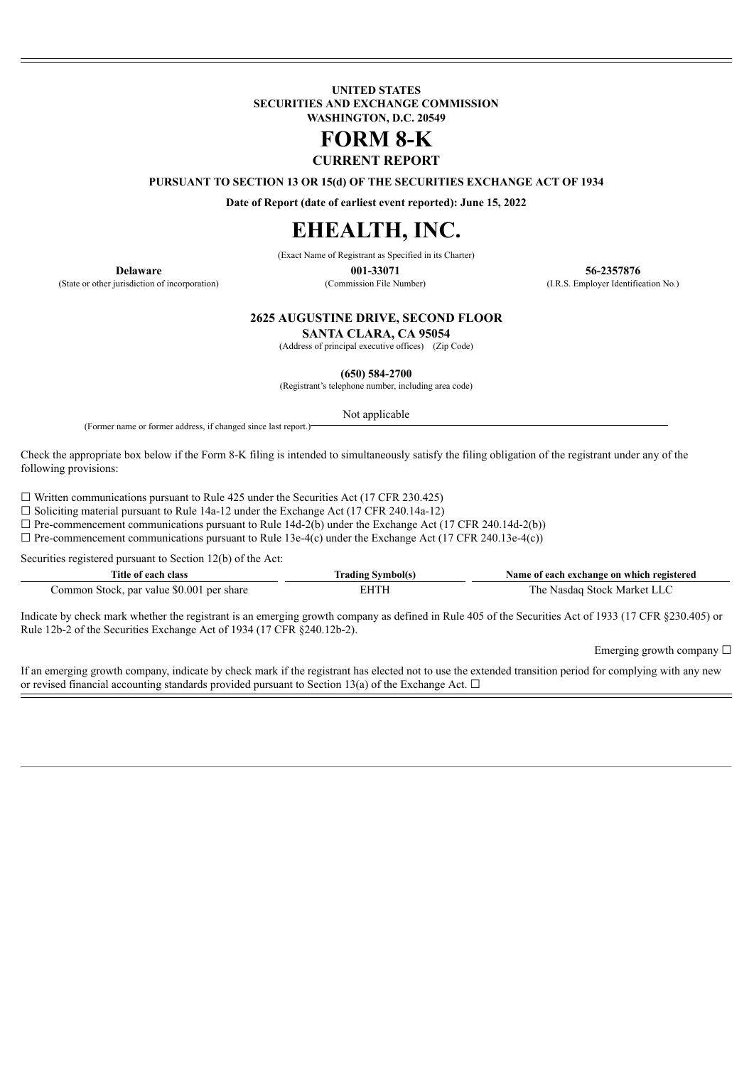**UNITED STATES SECURITIES AND EXCHANGE COMMISSION WASHINGTON, D.C. 20549**

# **FORM 8-K**

**CURRENT REPORT**

**PURSUANT TO SECTION 13 OR 15(d) OF THE SECURITIES EXCHANGE ACT OF 1934**

**Date of Report (date of earliest event reported): June 15, 2022**

## **EHEALTH, INC.**

(Exact Name of Registrant as Specified in its Charter)

(State or other jurisdiction of incorporation) (Commission File Number) (I.R.S. Employer Identification No.)

**Delaware 001-33071 56-2357876**

#### **2625 AUGUSTINE DRIVE, SECOND FLOOR**

**SANTA CLARA, CA 95054**

(Address of principal executive offices) (Zip Code)

**(650) 584-2700**

(Registrant's telephone number, including area code)

Not applicable

(Former name or former address, if changed since last report.)

Check the appropriate box below if the Form 8-K filing is intended to simultaneously satisfy the filing obligation of the registrant under any of the following provisions:

 $\Box$  Written communications pursuant to Rule 425 under the Securities Act (17 CFR 230.425)

 $\Box$  Soliciting material pursuant to Rule 14a-12 under the Exchange Act (17 CFR 240.14a-12)

 $\Box$  Pre-commencement communications pursuant to Rule 14d-2(b) under the Exchange Act (17 CFR 240.14d-2(b))

 $\Box$  Pre-commencement communications pursuant to Rule 13e-4(c) under the Exchange Act (17 CFR 240.13e-4(c))

Securities registered pursuant to Section 12(b) of the Act:

| Title of each class                       | Trading Symbol(s) | Name of each exchange on which registered |
|-------------------------------------------|-------------------|-------------------------------------------|
| Common Stock, par value \$0.001 per share | EHTH              | The Nasdag Stock Market LLC               |

Indicate by check mark whether the registrant is an emerging growth company as defined in Rule 405 of the Securities Act of 1933 (17 CFR §230.405) or Rule 12b-2 of the Securities Exchange Act of 1934 (17 CFR §240.12b-2).

Emerging growth company  $\Box$ 

If an emerging growth company, indicate by check mark if the registrant has elected not to use the extended transition period for complying with any new or revised financial accounting standards provided pursuant to Section 13(a) of the Exchange Act.  $\Box$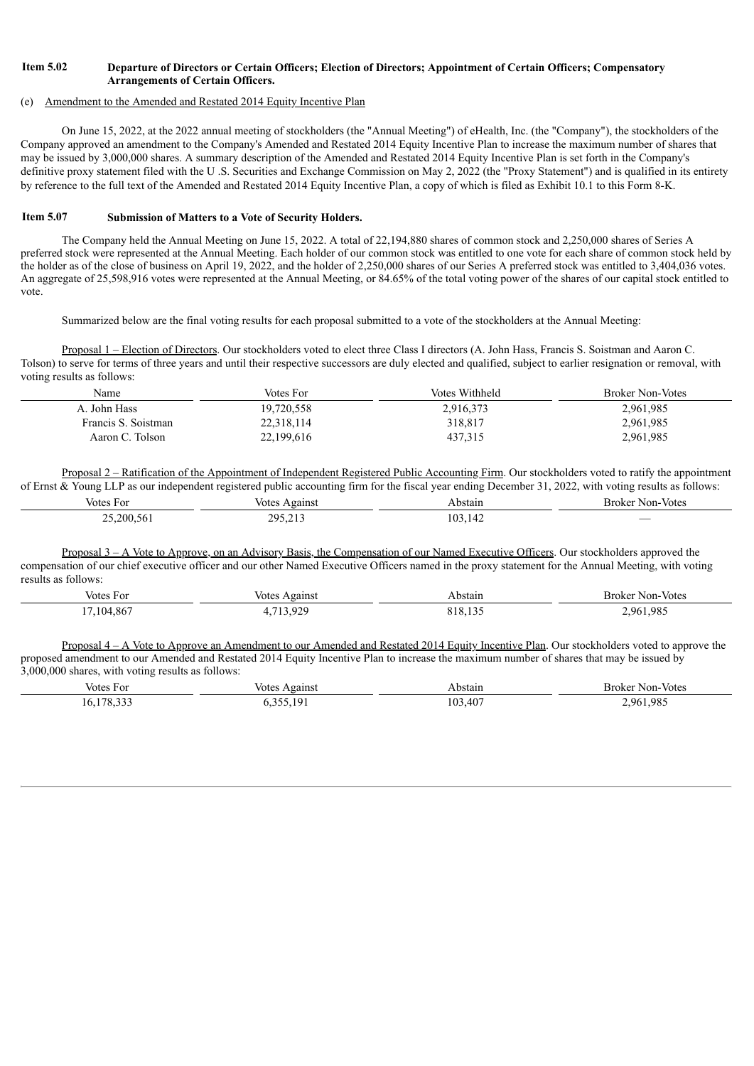## Item 5.02 Departure of Directors or Certain Officers; Election of Directors; Appointment of Certain Officers; Compensatory **Arrangements of Certain Officers.**

#### (e) Amendment to the Amended and Restated 2014 Equity Incentive Plan

On June 15, 2022, at the 2022 annual meeting of stockholders (the "Annual Meeting") of eHealth, Inc. (the "Company"), the stockholders of the Company approved an amendment to the Company's Amended and Restated 2014 Equity Incentive Plan to increase the maximum number of shares that may be issued by 3,000,000 shares. A summary description of the Amended and Restated 2014 Equity Incentive Plan is set forth in the Company's definitive proxy statement filed with the U.S. Securities and Exchange Commission on May 2, 2022 (the "Proxy Statement") and is qualified in its entirety by reference to the full text of the Amended and Restated 2014 Equity Incentive Plan, a copy of which is filed as Exhibit 10.1 to this Form 8-K.

#### **Item 5.07 Submission of Matters to a Vote of Security Holders.**

The Company held the Annual Meeting on June 15, 2022. A total of 22,194,880 shares of common stock and 2,250,000 shares of Series A preferred stock were represented at the Annual Meeting. Each holder of our common stock was entitled to one vote for each share of common stock held by the holder as of the close of business on April 19, 2022, and the holder of 2,250,000 shares of our Series A preferred stock was entitled to 3,404,036 votes. An aggregate of 25,598,916 votes were represented at the Annual Meeting, or 84.65% of the total voting power of the shares of our capital stock entitled to vote.

Summarized below are the final voting results for each proposal submitted to a vote of the stockholders at the Annual Meeting:

Proposal 1 – Election of Directors. Our stockholders voted to elect three Class I directors (A. John Hass, Francis S. Soistman and Aaron C. Tolson) to serve for terms of three years and until their respective successors are duly elected and qualified, subject to earlier resignation or removal, with voting results as follows:

| Name                | Votes For  | Votes Withheld | <b>Broker Non-Votes</b> |
|---------------------|------------|----------------|-------------------------|
| A. John Hass        | 19,720,558 | 2,916,373      | 2,961,985               |
| Francis S. Soistman | 22,318,114 | 318,817        | 2,961,985               |
| Aaron C. Tolson     | 22,199,616 | 437,315        | 2,961,985               |

Proposal 2 – Ratification of the Appointment of Independent Registered Public Accounting Firm. Our stockholders voted to ratify the appointment of Ernst & Young LLP as our independent registered public accounting firm for the fiscal year ending December 31, 2022, with voting results as follows:

| votes For                  | votes<br>Against | bstain | Non-Votes<br>Broker      |
|----------------------------|------------------|--------|--------------------------|
| 200.56<br>$\sim$<br>$\sim$ | 205<br>-----     | n.     | $\overline{\phantom{a}}$ |

Proposal 3 – A Vote to Approve, on an Advisory Basis, the Compensation of our Named Executive Officers. Our stockholders approved the compensation of our chief executive officer and our other Named Executive Officers named in the proxy statement for the Annual Meeting, with voting results as follows:

| Votes For | Votes Against           | Abstain | Broker Non-Votes |
|-----------|-------------------------|---------|------------------|
| /104,867  | 713.929<br>. <i>.</i> . | 818,13. | .961.985         |

Proposal 4 – A Vote to Approve an Amendment to our Amended and Restated 2014 Equity Incentive Plan. Our stockholders voted to approve the proposed amendment to our Amended and Restated 2014 Equity Incentive Plan to increase the maximum number of shares that may be issued by 3,000,000 shares, with voting results as follows:

| Votes For | Against<br>Votes | Abstain       | Broker Non-Votes |
|-----------|------------------|---------------|------------------|
| 170.22    | 255.101          | $,40^{\circ}$ | .961.985         |
|           | - 1 9            | ۱02           | . .              |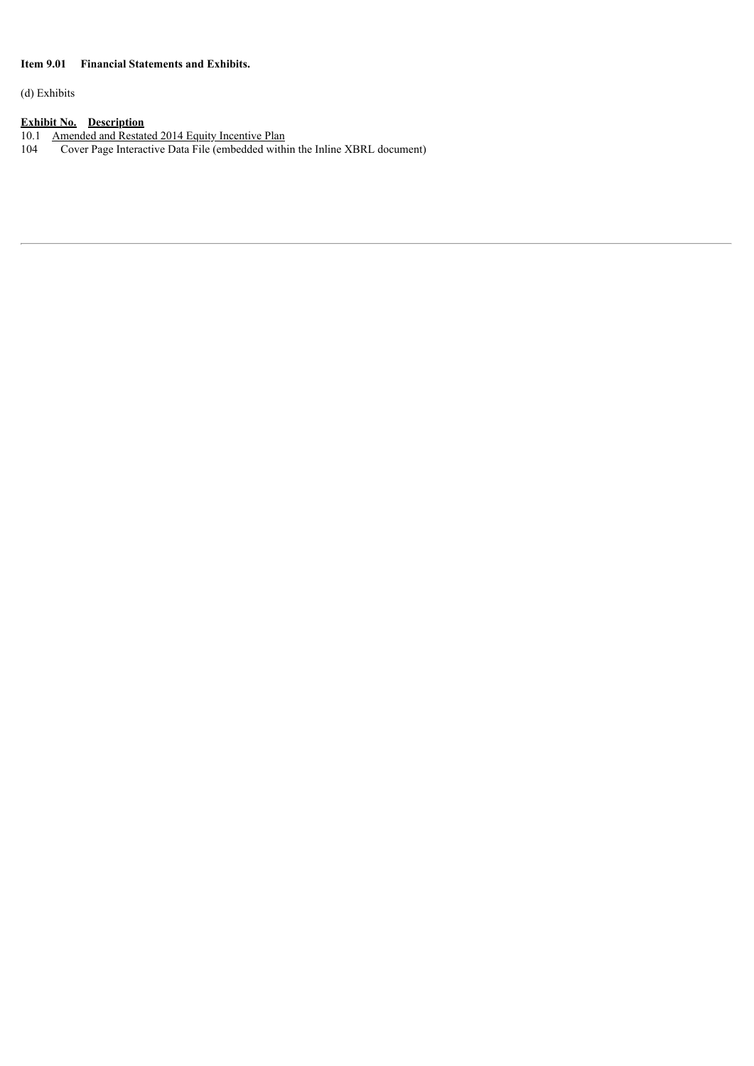## **Item 9.01 Financial Statements and Exhibits.**

(d) Exhibits

#### **Exhibit No. Description**

10.1 [Amended](#page-4-0) and [Restated](#page-4-0) 2014 [Equity](#page-4-0) [Incentive](#page-4-0) Plan

104 Cover Page Interactive Data File (embedded within the Inline XBRL document)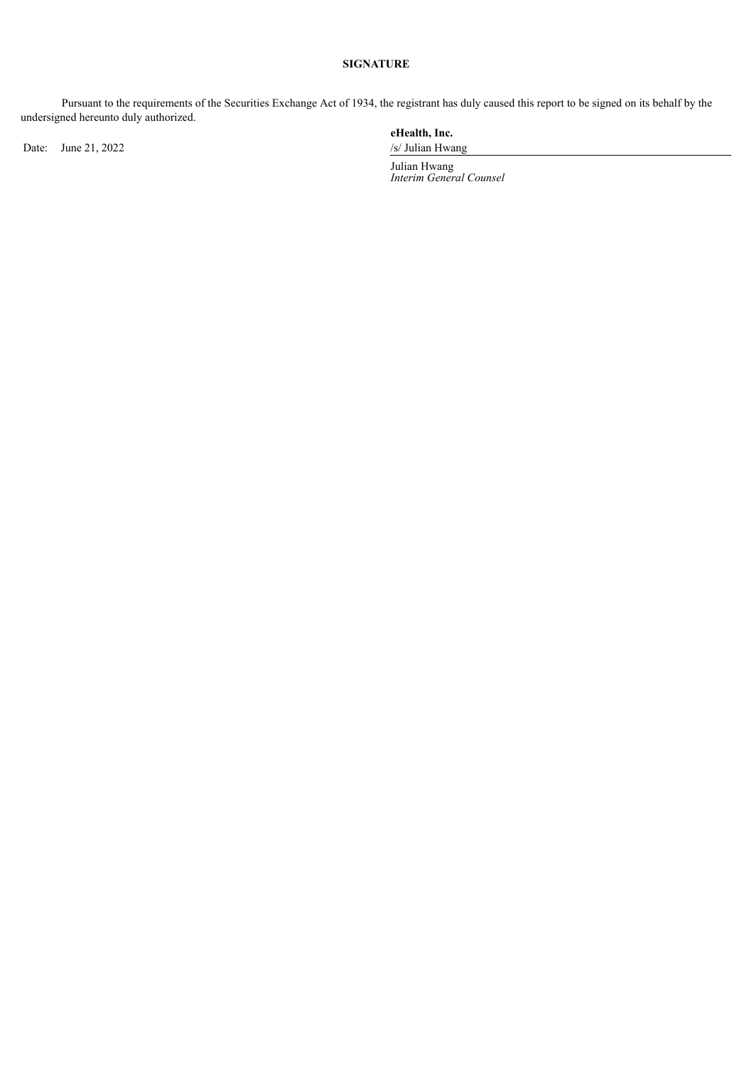## **SIGNATURE**

Pursuant to the requirements of the Securities Exchange Act of 1934, the registrant has duly caused this report to be signed on its behalf by the undersigned hereunto duly authorized.

Date: June 21, 2022 /s/ Julian Hwang

**eHealth, Inc.**

Julian Hwang *Interim General Counsel*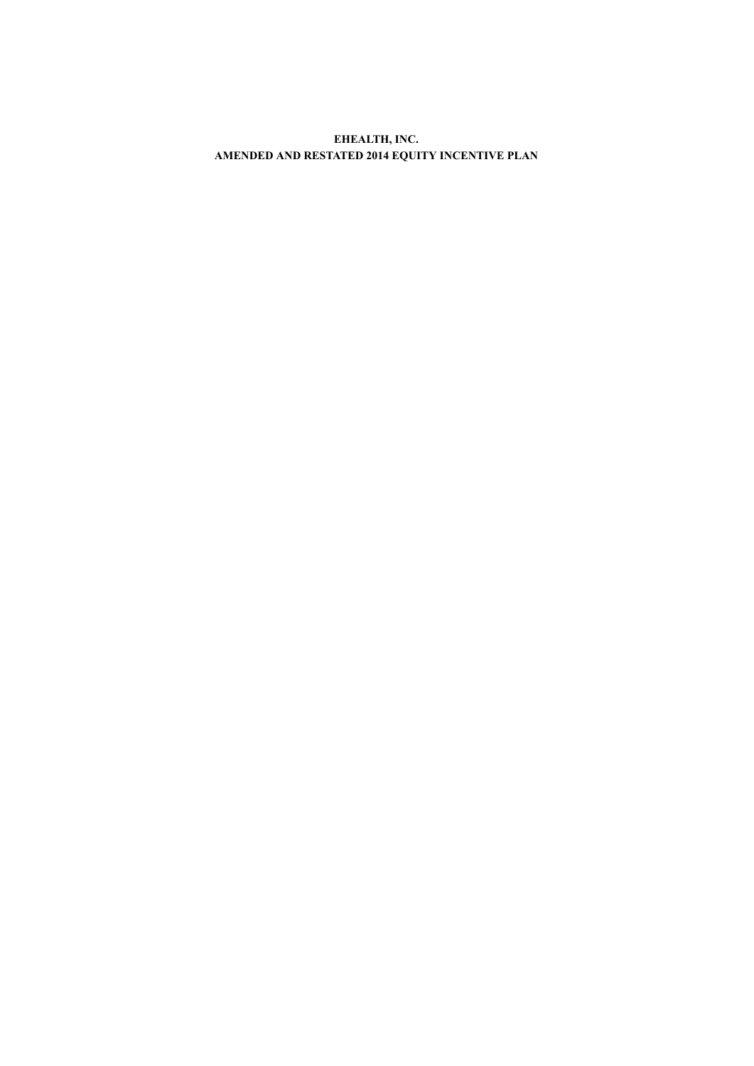<span id="page-4-0"></span>**EHEALTH, INC. AMENDED AND RESTATED 2014 EQUITY INCENTIVE PLAN**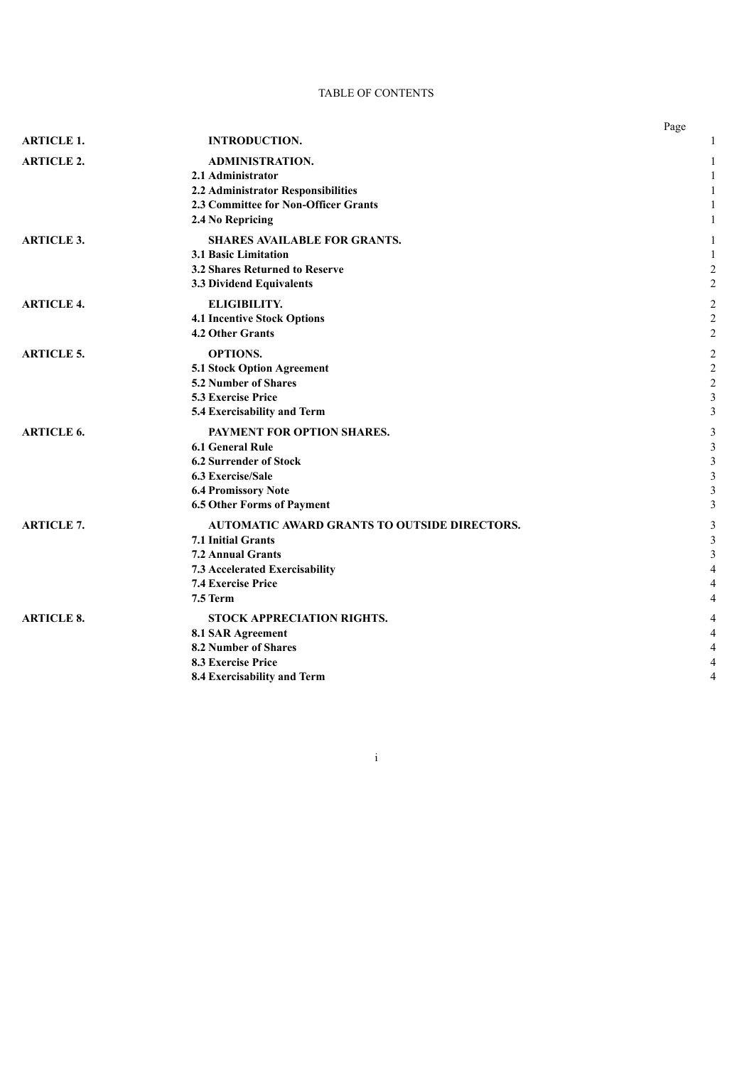## TABLE OF CONTENTS

|                   |                                                     | Page           |
|-------------------|-----------------------------------------------------|----------------|
| <b>ARTICLE 1.</b> | <b>INTRODUCTION.</b>                                |                |
| <b>ARTICLE 2.</b> | <b>ADMINISTRATION.</b>                              | 1              |
|                   | 2.1 Administrator                                   |                |
|                   | 2.2 Administrator Responsibilities                  |                |
|                   | 2.3 Committee for Non-Officer Grants                |                |
|                   | 2.4 No Repricing                                    | 1              |
| <b>ARTICLE 3.</b> | <b>SHARES AVAILABLE FOR GRANTS.</b>                 |                |
|                   | <b>3.1 Basic Limitation</b>                         |                |
|                   | 3.2 Shares Returned to Reserve                      | 2              |
|                   | 3.3 Dividend Equivalents                            | $\overline{c}$ |
| <b>ARTICLE 4.</b> | <b>ELIGIBILITY.</b>                                 | $\overline{2}$ |
|                   | <b>4.1 Incentive Stock Options</b>                  | $\overline{2}$ |
|                   | <b>4.2 Other Grants</b>                             | $\overline{c}$ |
| <b>ARTICLE 5.</b> | <b>OPTIONS.</b>                                     | $\overline{c}$ |
|                   | 5.1 Stock Option Agreement                          | $\overline{2}$ |
|                   | <b>5.2 Number of Shares</b>                         | $\overline{c}$ |
|                   | 5.3 Exercise Price                                  | $\mathfrak{Z}$ |
|                   | 5.4 Exercisability and Term                         | 3              |
| <b>ARTICLE 6.</b> | PAYMENT FOR OPTION SHARES.                          | 3              |
|                   | <b>6.1 General Rule</b>                             | 3              |
|                   | <b>6.2 Surrender of Stock</b>                       | 3              |
|                   | <b>6.3 Exercise/Sale</b>                            | 3              |
|                   | <b>6.4 Promissory Note</b>                          | 3              |
|                   | <b>6.5 Other Forms of Payment</b>                   | 3              |
| <b>ARTICLE 7.</b> | <b>AUTOMATIC AWARD GRANTS TO OUTSIDE DIRECTORS.</b> | 3              |
|                   | <b>7.1 Initial Grants</b>                           | 3              |
|                   | <b>7.2 Annual Grants</b>                            | 3              |
|                   | 7.3 Accelerated Exercisability                      | $\overline{4}$ |
|                   | <b>7.4 Exercise Price</b>                           | 4              |
|                   | 7.5 Term                                            | 4              |
| <b>ARTICLE 8.</b> | STOCK APPRECIATION RIGHTS.                          |                |
|                   | 8.1 SAR Agreement                                   | 4              |
|                   | 8.2 Number of Shares                                | 4              |
|                   | <b>8.3 Exercise Price</b>                           | 4              |
|                   | 8.4 Exercisability and Term                         | 4              |

i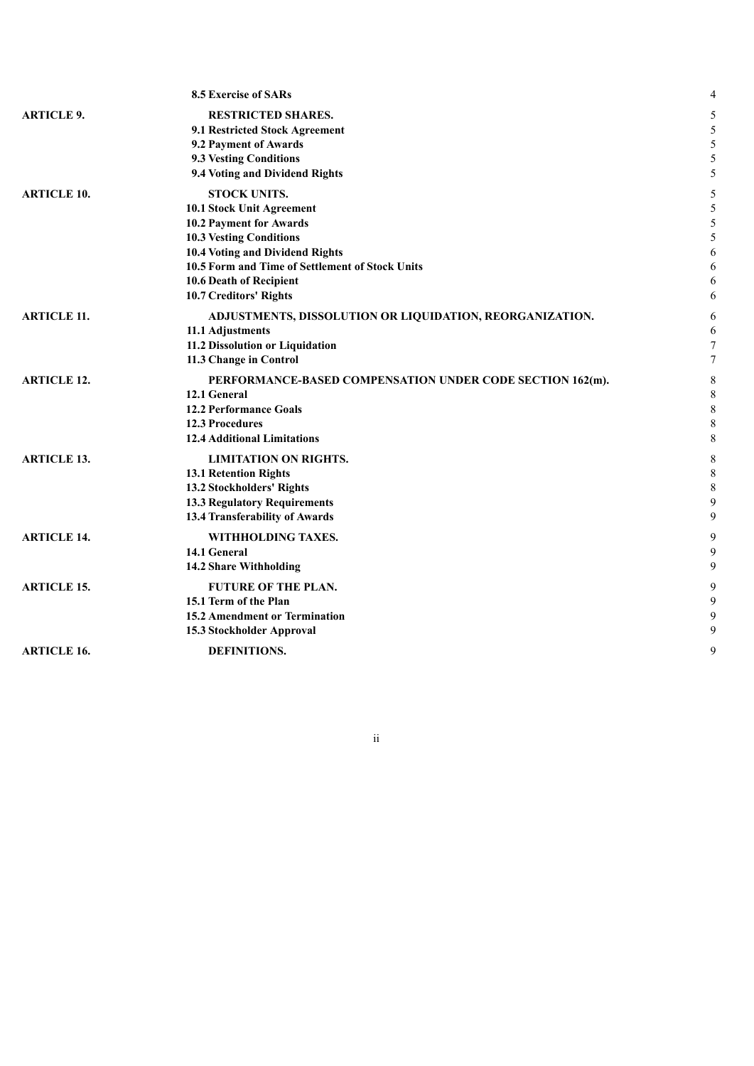|                    | 8.5 Exercise of SARs                                      | 4              |
|--------------------|-----------------------------------------------------------|----------------|
| <b>ARTICLE 9.</b>  | <b>RESTRICTED SHARES.</b>                                 | 5              |
|                    | 9.1 Restricted Stock Agreement                            | 5              |
|                    | 9.2 Payment of Awards                                     | 5              |
|                    | <b>9.3 Vesting Conditions</b>                             | 5              |
|                    | 9.4 Voting and Dividend Rights                            | 5              |
| <b>ARTICLE 10.</b> | <b>STOCK UNITS.</b>                                       | 5              |
|                    | 10.1 Stock Unit Agreement                                 | 5              |
|                    | 10.2 Payment for Awards                                   | 5              |
|                    | <b>10.3 Vesting Conditions</b>                            | 5              |
|                    | 10.4 Voting and Dividend Rights                           | 6              |
|                    | 10.5 Form and Time of Settlement of Stock Units           | 6              |
|                    | 10.6 Death of Recipient                                   | 6              |
|                    | 10.7 Creditors' Rights                                    | 6              |
| <b>ARTICLE 11.</b> | ADJUSTMENTS, DISSOLUTION OR LIQUIDATION, REORGANIZATION.  | 6              |
|                    | 11.1 Adjustments                                          | 6              |
|                    | 11.2 Dissolution or Liquidation                           | $\overline{7}$ |
|                    | 11.3 Change in Control                                    | 7              |
| <b>ARTICLE 12.</b> | PERFORMANCE-BASED COMPENSATION UNDER CODE SECTION 162(m). | 8              |
|                    | 12.1 General                                              | 8              |
|                    | <b>12.2 Performance Goals</b>                             | $\,$ 8 $\,$    |
|                    | <b>12.3 Procedures</b>                                    | $\,$ 8 $\,$    |
|                    | <b>12.4 Additional Limitations</b>                        | $\,$ 8 $\,$    |
| <b>ARTICLE 13.</b> | <b>LIMITATION ON RIGHTS.</b>                              | 8              |
|                    | 13.1 Retention Rights                                     | $\,$ 8 $\,$    |
|                    | 13.2 Stockholders' Rights                                 | $\,$ 8 $\,$    |
|                    | <b>13.3 Regulatory Requirements</b>                       | 9              |
|                    | 13.4 Transferability of Awards                            | 9              |
| <b>ARTICLE 14.</b> | WITHHOLDING TAXES.                                        | 9              |
|                    | 14.1 General                                              | 9              |
|                    | 14.2 Share Withholding                                    | 9              |
| <b>ARTICLE 15.</b> | <b>FUTURE OF THE PLAN.</b>                                | 9              |
|                    | 15.1 Term of the Plan                                     | 9              |
|                    | 15.2 Amendment or Termination                             | 9              |
|                    | 15.3 Stockholder Approval                                 | 9              |
| <b>ARTICLE 16.</b> | DEFINITIONS.                                              | 9              |
|                    |                                                           |                |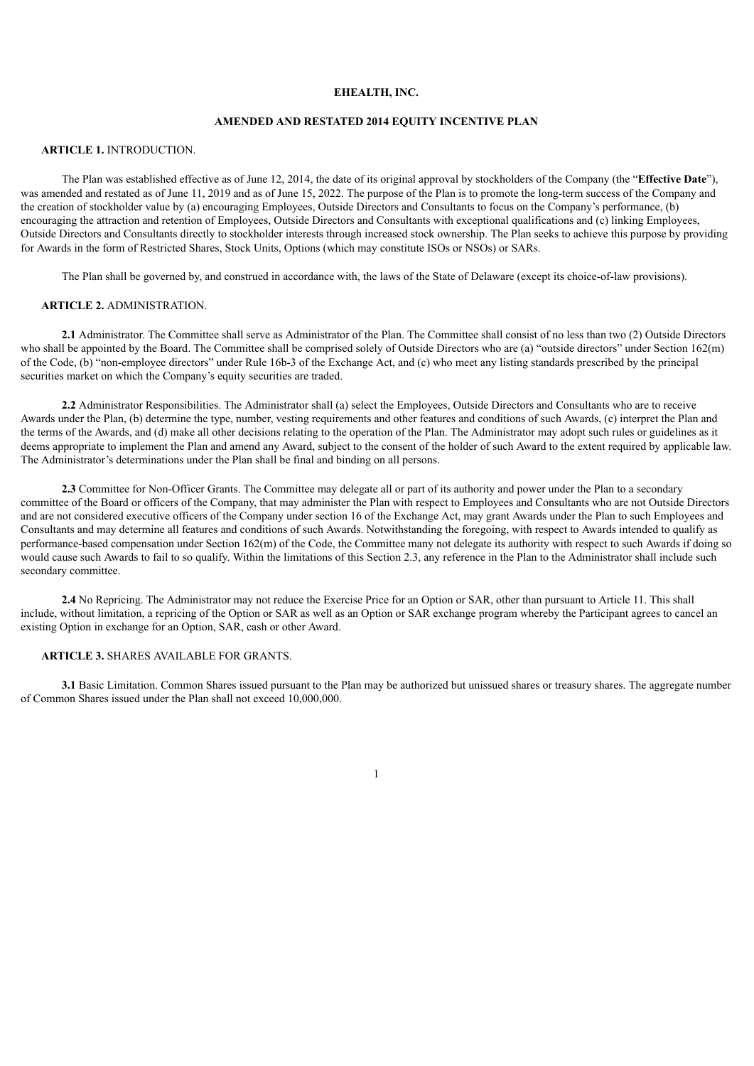#### **EHEALTH, INC.**

#### **AMENDED AND RESTATED 2014 EQUITY INCENTIVE PLAN**

#### **ARTICLE 1.** INTRODUCTION.

The Plan was established effective as of June 12, 2014, the date of its original approval by stockholders of the Company (the "**Effective Date**"), was amended and restated as of June 11, 2019 and as of June 15, 2022. The purpose of the Plan is to promote the long-term success of the Company and the creation of stockholder value by (a) encouraging Employees, Outside Directors and Consultants to focus on the Company's performance, (b) encouraging the attraction and retention of Employees, Outside Directors and Consultants with exceptional qualifications and (c) linking Employees, Outside Directors and Consultants directly to stockholder interests through increased stock ownership. The Plan seeks to achieve this purpose by providing for Awards in the form of Restricted Shares, Stock Units, Options (which may constitute ISOs or NSOs) or SARs.

The Plan shall be governed by, and construed in accordance with, the laws of the State of Delaware (except its choice-of-law provisions).

#### **ARTICLE 2.** ADMINISTRATION.

**2.1** Administrator. The Committee shall serve as Administrator of the Plan. The Committee shall consist of no less than two (2) Outside Directors who shall be appointed by the Board. The Committee shall be comprised solely of Outside Directors who are (a) "outside directors" under Section 162(m) of the Code, (b) "non-employee directors" under Rule 16b-3 of the Exchange Act, and (c) who meet any listing standards prescribed by the principal securities market on which the Company's equity securities are traded.

**2.2** Administrator Responsibilities. The Administrator shall (a) select the Employees, Outside Directors and Consultants who are to receive Awards under the Plan, (b) determine the type, number, vesting requirements and other features and conditions of such Awards, (c) interpret the Plan and the terms of the Awards, and (d) make all other decisions relating to the operation of the Plan. The Administrator may adopt such rules or guidelines as it deems appropriate to implement the Plan and amend any Award, subject to the consent of the holder of such Award to the extent required by applicable law. The Administrator's determinations under the Plan shall be final and binding on all persons.

**2.3** Committee for Non-Officer Grants. The Committee may delegate all or part of its authority and power under the Plan to a secondary committee of the Board or officers of the Company, that may administer the Plan with respect to Employees and Consultants who are not Outside Directors and are not considered executive officers of the Company under section 16 of the Exchange Act, may grant Awards under the Plan to such Employees and Consultants and may determine all features and conditions of such Awards. Notwithstanding the foregoing, with respect to Awards intended to qualify as performance-based compensation under Section 162(m) of the Code, the Committee many not delegate its authority with respect to such Awards if doing so would cause such Awards to fail to so qualify. Within the limitations of this Section 2.3, any reference in the Plan to the Administrator shall include such secondary committee.

**2.4** No Repricing. The Administrator may not reduce the Exercise Price for an Option or SAR, other than pursuant to Article 11. This shall include, without limitation, a repricing of the Option or SAR as well as an Option or SAR exchange program whereby the Participant agrees to cancel an existing Option in exchange for an Option, SAR, cash or other Award.

#### **ARTICLE 3.** SHARES AVAILABLE FOR GRANTS.

**3.1** Basic Limitation. Common Shares issued pursuant to the Plan may be authorized but unissued shares or treasury shares. The aggregate number of Common Shares issued under the Plan shall not exceed 10,000,000.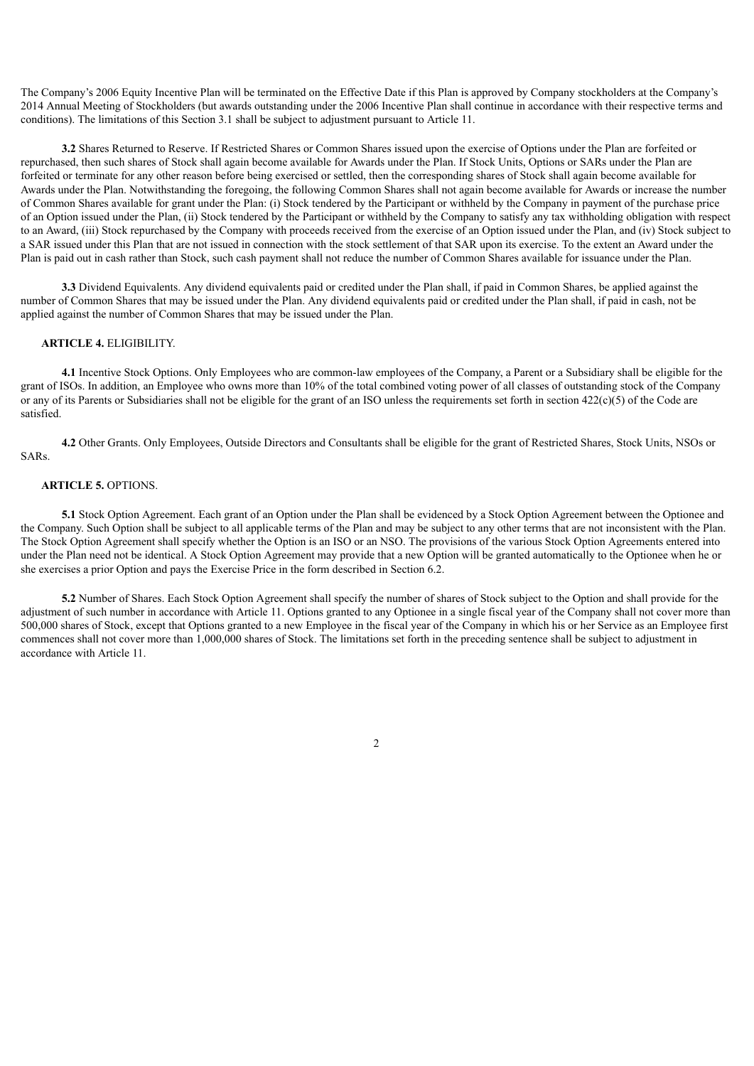The Company's 2006 Equity Incentive Plan will be terminated on the Effective Date if this Plan is approved by Company stockholders at the Company's 2014 Annual Meeting of Stockholders (but awards outstanding under the 2006 Incentive Plan shall continue in accordance with their respective terms and conditions). The limitations of this Section 3.1 shall be subject to adjustment pursuant to Article 11.

**3.2** Shares Returned to Reserve. If Restricted Shares or Common Shares issued upon the exercise of Options under the Plan are forfeited or repurchased, then such shares of Stock shall again become available for Awards under the Plan. If Stock Units, Options or SARs under the Plan are forfeited or terminate for any other reason before being exercised or settled, then the corresponding shares of Stock shall again become available for Awards under the Plan. Notwithstanding the foregoing, the following Common Shares shall not again become available for Awards or increase the number of Common Shares available for grant under the Plan: (i) Stock tendered by the Participant or withheld by the Company in payment of the purchase price of an Option issued under the Plan, (ii) Stock tendered by the Participant or withheld by the Company to satisfy any tax withholding obligation with respect to an Award, (iii) Stock repurchased by the Company with proceeds received from the exercise of an Option issued under the Plan, and (iv) Stock subject to a SAR issued under this Plan that are not issued in connection with the stock settlement of that SAR upon its exercise. To the extent an Award under the Plan is paid out in cash rather than Stock, such cash payment shall not reduce the number of Common Shares available for issuance under the Plan.

**3.3** Dividend Equivalents. Any dividend equivalents paid or credited under the Plan shall, if paid in Common Shares, be applied against the number of Common Shares that may be issued under the Plan. Any dividend equivalents paid or credited under the Plan shall, if paid in cash, not be applied against the number of Common Shares that may be issued under the Plan.

#### **ARTICLE 4.** ELIGIBILITY.

**4.1** Incentive Stock Options. Only Employees who are common-law employees of the Company, a Parent or a Subsidiary shall be eligible for the grant of ISOs. In addition, an Employee who owns more than 10% of the total combined voting power of all classes of outstanding stock of the Company or any of its Parents or Subsidiaries shall not be eligible for the grant of an ISO unless the requirements set forth in section  $422(c)(5)$  of the Code are satisfied.

**4.2** Other Grants. Only Employees, Outside Directors and Consultants shall be eligible for the grant of Restricted Shares, Stock Units, NSOs or SARs.

#### **ARTICLE 5.** OPTIONS.

**5.1** Stock Option Agreement. Each grant of an Option under the Plan shall be evidenced by a Stock Option Agreement between the Optionee and the Company. Such Option shall be subject to all applicable terms of the Plan and may be subject to any other terms that are not inconsistent with the Plan. The Stock Option Agreement shall specify whether the Option is an ISO or an NSO. The provisions of the various Stock Option Agreements entered into under the Plan need not be identical. A Stock Option Agreement may provide that a new Option will be granted automatically to the Optionee when he or she exercises a prior Option and pays the Exercise Price in the form described in Section 6.2.

**5.2** Number of Shares. Each Stock Option Agreement shall specify the number of shares of Stock subject to the Option and shall provide for the adjustment of such number in accordance with Article 11. Options granted to any Optionee in a single fiscal year of the Company shall not cover more than 500,000 shares of Stock, except that Options granted to a new Employee in the fiscal year of the Company in which his or her Service as an Employee first commences shall not cover more than 1,000,000 shares of Stock. The limitations set forth in the preceding sentence shall be subject to adjustment in accordance with Article 11.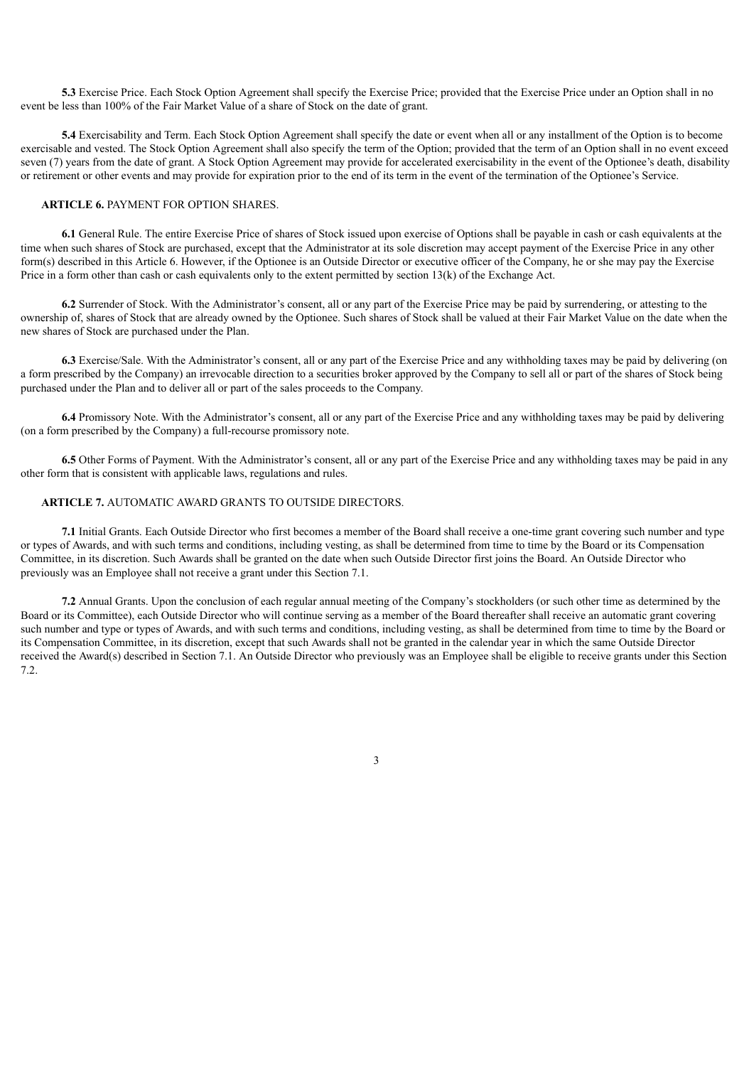**5.3** Exercise Price. Each Stock Option Agreement shall specify the Exercise Price; provided that the Exercise Price under an Option shall in no event be less than 100% of the Fair Market Value of a share of Stock on the date of grant.

**5.4** Exercisability and Term. Each Stock Option Agreement shall specify the date or event when all or any installment of the Option is to become exercisable and vested. The Stock Option Agreement shall also specify the term of the Option; provided that the term of an Option shall in no event exceed seven (7) years from the date of grant. A Stock Option Agreement may provide for accelerated exercisability in the event of the Optionee's death, disability or retirement or other events and may provide for expiration prior to the end of its term in the event of the termination of the Optionee's Service.

### **ARTICLE 6.** PAYMENT FOR OPTION SHARES.

**6.1** General Rule. The entire Exercise Price of shares of Stock issued upon exercise of Options shall be payable in cash or cash equivalents at the time when such shares of Stock are purchased, except that the Administrator at its sole discretion may accept payment of the Exercise Price in any other form(s) described in this Article 6. However, if the Optionee is an Outside Director or executive officer of the Company, he or she may pay the Exercise Price in a form other than cash or cash equivalents only to the extent permitted by section 13(k) of the Exchange Act.

**6.2** Surrender of Stock. With the Administrator's consent, all or any part of the Exercise Price may be paid by surrendering, or attesting to the ownership of, shares of Stock that are already owned by the Optionee. Such shares of Stock shall be valued at their Fair Market Value on the date when the new shares of Stock are purchased under the Plan.

**6.3** Exercise/Sale. With the Administrator's consent, all or any part of the Exercise Price and any withholding taxes may be paid by delivering (on a form prescribed by the Company) an irrevocable direction to a securities broker approved by the Company to sell all or part of the shares of Stock being purchased under the Plan and to deliver all or part of the sales proceeds to the Company.

**6.4** Promissory Note. With the Administrator's consent, all or any part of the Exercise Price and any withholding taxes may be paid by delivering (on a form prescribed by the Company) a full-recourse promissory note.

**6.5** Other Forms of Payment. With the Administrator's consent, all or any part of the Exercise Price and any withholding taxes may be paid in any other form that is consistent with applicable laws, regulations and rules.

#### **ARTICLE 7.** AUTOMATIC AWARD GRANTS TO OUTSIDE DIRECTORS.

**7.1** Initial Grants. Each Outside Director who first becomes a member of the Board shall receive a one-time grant covering such number and type or types of Awards, and with such terms and conditions, including vesting, as shall be determined from time to time by the Board or its Compensation Committee, in its discretion. Such Awards shall be granted on the date when such Outside Director first joins the Board. An Outside Director who previously was an Employee shall not receive a grant under this Section 7.1.

**7.2** Annual Grants. Upon the conclusion of each regular annual meeting of the Company's stockholders (or such other time as determined by the Board or its Committee), each Outside Director who will continue serving as a member of the Board thereafter shall receive an automatic grant covering such number and type or types of Awards, and with such terms and conditions, including vesting, as shall be determined from time to time by the Board or its Compensation Committee, in its discretion, except that such Awards shall not be granted in the calendar year in which the same Outside Director received the Award(s) described in Section 7.1. An Outside Director who previously was an Employee shall be eligible to receive grants under this Section 7.2.

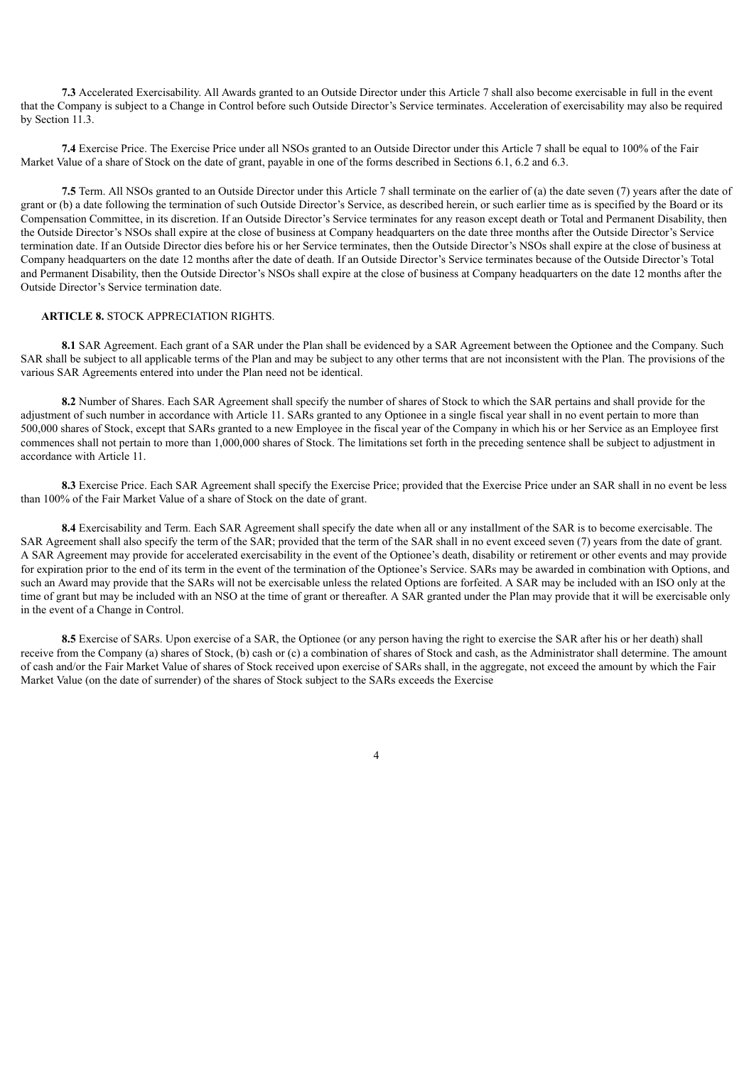**7.3** Accelerated Exercisability. All Awards granted to an Outside Director under this Article 7 shall also become exercisable in full in the event that the Company is subject to a Change in Control before such Outside Director's Service terminates. Acceleration of exercisability may also be required by Section 11.3.

**7.4** Exercise Price. The Exercise Price under all NSOs granted to an Outside Director under this Article 7 shall be equal to 100% of the Fair Market Value of a share of Stock on the date of grant, payable in one of the forms described in Sections 6.1, 6.2 and 6.3.

**7.5** Term. All NSOs granted to an Outside Director under this Article 7 shall terminate on the earlier of (a) the date seven (7) years after the date of grant or (b) a date following the termination of such Outside Director's Service, as described herein, or such earlier time as is specified by the Board or its Compensation Committee, in its discretion. If an Outside Director's Service terminates for any reason except death or Total and Permanent Disability, then the Outside Director's NSOs shall expire at the close of business at Company headquarters on the date three months after the Outside Director's Service termination date. If an Outside Director dies before his or her Service terminates, then the Outside Director's NSOs shall expire at the close of business at Company headquarters on the date 12 months after the date of death. If an Outside Director's Service terminates because of the Outside Director's Total and Permanent Disability, then the Outside Director's NSOs shall expire at the close of business at Company headquarters on the date 12 months after the Outside Director's Service termination date.

#### **ARTICLE 8.** STOCK APPRECIATION RIGHTS.

**8.1** SAR Agreement. Each grant of a SAR under the Plan shall be evidenced by a SAR Agreement between the Optionee and the Company. Such SAR shall be subject to all applicable terms of the Plan and may be subject to any other terms that are not inconsistent with the Plan. The provisions of the various SAR Agreements entered into under the Plan need not be identical.

**8.2** Number of Shares. Each SAR Agreement shall specify the number of shares of Stock to which the SAR pertains and shall provide for the adjustment of such number in accordance with Article 11. SARs granted to any Optionee in a single fiscal year shall in no event pertain to more than 500,000 shares of Stock, except that SARs granted to a new Employee in the fiscal year of the Company in which his or her Service as an Employee first commences shall not pertain to more than 1,000,000 shares of Stock. The limitations set forth in the preceding sentence shall be subject to adjustment in accordance with Article 11.

**8.3** Exercise Price. Each SAR Agreement shall specify the Exercise Price; provided that the Exercise Price under an SAR shall in no event be less than 100% of the Fair Market Value of a share of Stock on the date of grant.

**8.4** Exercisability and Term. Each SAR Agreement shall specify the date when all or any installment of the SAR is to become exercisable. The SAR Agreement shall also specify the term of the SAR; provided that the term of the SAR shall in no event exceed seven (7) years from the date of grant. A SAR Agreement may provide for accelerated exercisability in the event of the Optionee's death, disability or retirement or other events and may provide for expiration prior to the end of its term in the event of the termination of the Optionee's Service. SARs may be awarded in combination with Options, and such an Award may provide that the SARs will not be exercisable unless the related Options are forfeited. A SAR may be included with an ISO only at the time of grant but may be included with an NSO at the time of grant or thereafter. A SAR granted under the Plan may provide that it will be exercisable only in the event of a Change in Control.

**8.5** Exercise of SARs. Upon exercise of a SAR, the Optionee (or any person having the right to exercise the SAR after his or her death) shall receive from the Company (a) shares of Stock, (b) cash or (c) a combination of shares of Stock and cash, as the Administrator shall determine. The amount of cash and/or the Fair Market Value of shares of Stock received upon exercise of SARs shall, in the aggregate, not exceed the amount by which the Fair Market Value (on the date of surrender) of the shares of Stock subject to the SARs exceeds the Exercise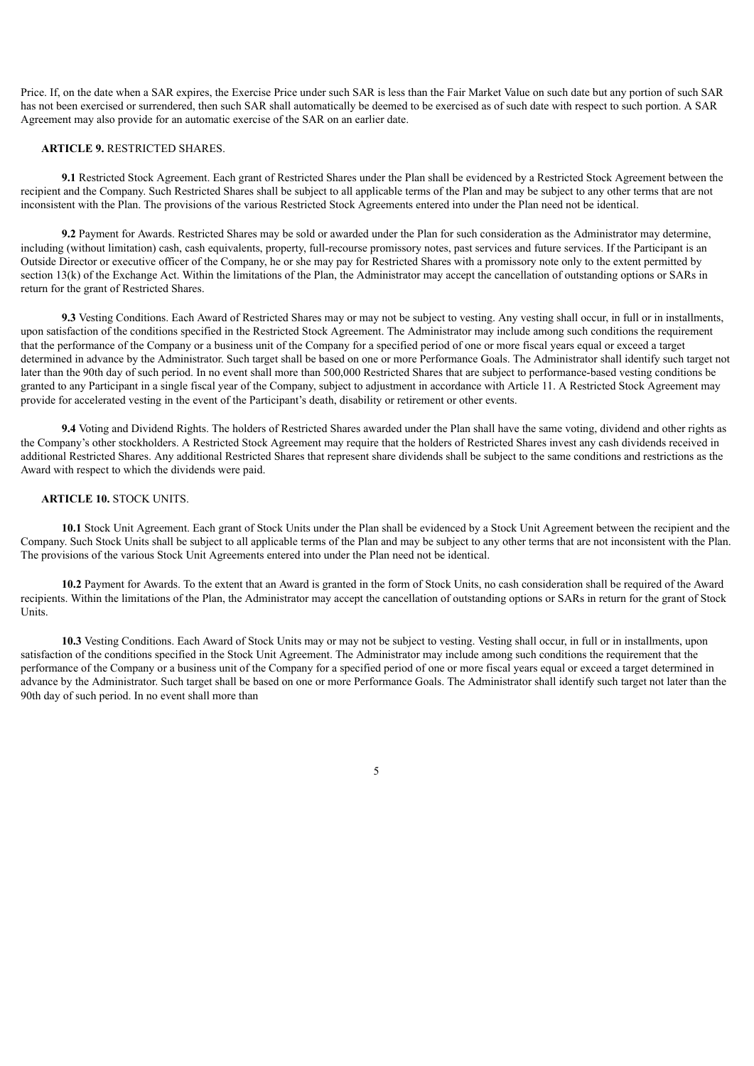Price. If, on the date when a SAR expires, the Exercise Price under such SAR is less than the Fair Market Value on such date but any portion of such SAR has not been exercised or surrendered, then such SAR shall automatically be deemed to be exercised as of such date with respect to such portion. A SAR Agreement may also provide for an automatic exercise of the SAR on an earlier date.

#### **ARTICLE 9.** RESTRICTED SHARES.

**9.1** Restricted Stock Agreement. Each grant of Restricted Shares under the Plan shall be evidenced by a Restricted Stock Agreement between the recipient and the Company. Such Restricted Shares shall be subject to all applicable terms of the Plan and may be subject to any other terms that are not inconsistent with the Plan. The provisions of the various Restricted Stock Agreements entered into under the Plan need not be identical.

**9.2** Payment for Awards. Restricted Shares may be sold or awarded under the Plan for such consideration as the Administrator may determine, including (without limitation) cash, cash equivalents, property, full-recourse promissory notes, past services and future services. If the Participant is an Outside Director or executive officer of the Company, he or she may pay for Restricted Shares with a promissory note only to the extent permitted by section 13(k) of the Exchange Act. Within the limitations of the Plan, the Administrator may accept the cancellation of outstanding options or SARs in return for the grant of Restricted Shares.

**9.3** Vesting Conditions. Each Award of Restricted Shares may or may not be subject to vesting. Any vesting shall occur, in full or in installments, upon satisfaction of the conditions specified in the Restricted Stock Agreement. The Administrator may include among such conditions the requirement that the performance of the Company or a business unit of the Company for a specified period of one or more fiscal years equal or exceed a target determined in advance by the Administrator. Such target shall be based on one or more Performance Goals. The Administrator shall identify such target not later than the 90th day of such period. In no event shall more than 500,000 Restricted Shares that are subject to performance-based vesting conditions be granted to any Participant in a single fiscal year of the Company, subject to adjustment in accordance with Article 11. A Restricted Stock Agreement may provide for accelerated vesting in the event of the Participant's death, disability or retirement or other events.

**9.4** Voting and Dividend Rights. The holders of Restricted Shares awarded under the Plan shall have the same voting, dividend and other rights as the Company's other stockholders. A Restricted Stock Agreement may require that the holders of Restricted Shares invest any cash dividends received in additional Restricted Shares. Any additional Restricted Shares that represent share dividends shall be subject to the same conditions and restrictions as the Award with respect to which the dividends were paid.

#### **ARTICLE 10.** STOCK UNITS.

**10.1** Stock Unit Agreement. Each grant of Stock Units under the Plan shall be evidenced by a Stock Unit Agreement between the recipient and the Company. Such Stock Units shall be subject to all applicable terms of the Plan and may be subject to any other terms that are not inconsistent with the Plan. The provisions of the various Stock Unit Agreements entered into under the Plan need not be identical.

**10.2** Payment for Awards. To the extent that an Award is granted in the form of Stock Units, no cash consideration shall be required of the Award recipients. Within the limitations of the Plan, the Administrator may accept the cancellation of outstanding options or SARs in return for the grant of Stock Units.

**10.3** Vesting Conditions. Each Award of Stock Units may or may not be subject to vesting. Vesting shall occur, in full or in installments, upon satisfaction of the conditions specified in the Stock Unit Agreement. The Administrator may include among such conditions the requirement that the performance of the Company or a business unit of the Company for a specified period of one or more fiscal years equal or exceed a target determined in advance by the Administrator. Such target shall be based on one or more Performance Goals. The Administrator shall identify such target not later than the 90th day of such period. In no event shall more than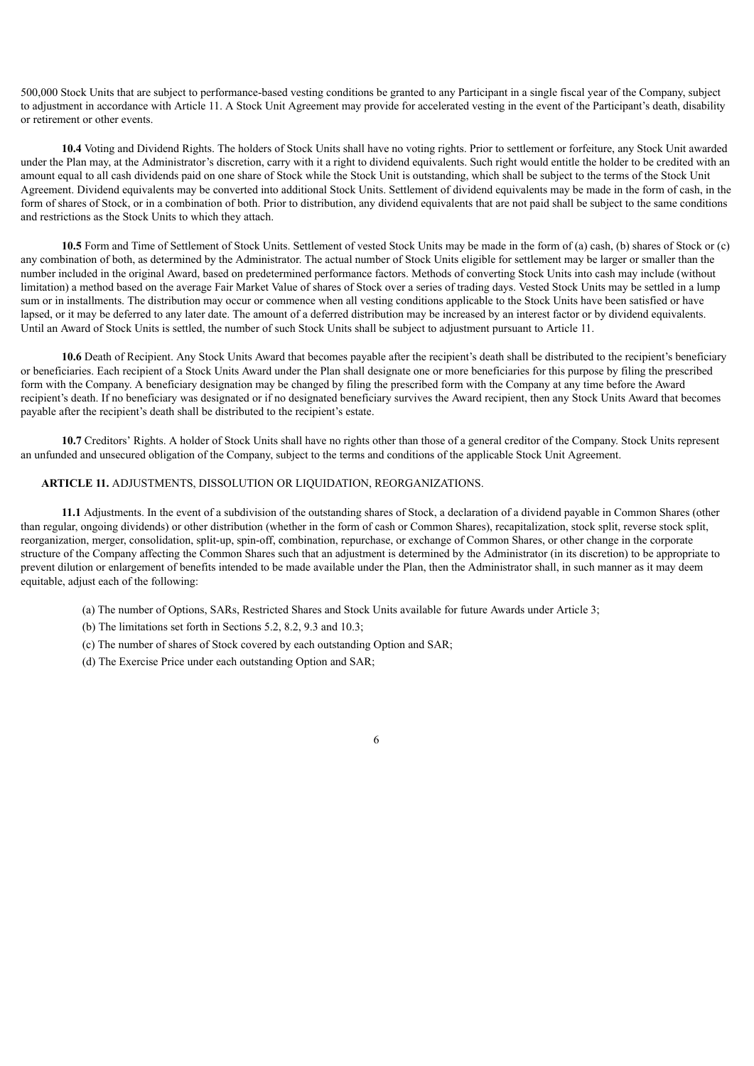500,000 Stock Units that are subject to performance-based vesting conditions be granted to any Participant in a single fiscal year of the Company, subject to adjustment in accordance with Article 11. A Stock Unit Agreement may provide for accelerated vesting in the event of the Participant's death, disability or retirement or other events.

**10.4** Voting and Dividend Rights. The holders of Stock Units shall have no voting rights. Prior to settlement or forfeiture, any Stock Unit awarded under the Plan may, at the Administrator's discretion, carry with it a right to dividend equivalents. Such right would entitle the holder to be credited with an amount equal to all cash dividends paid on one share of Stock while the Stock Unit is outstanding, which shall be subject to the terms of the Stock Unit Agreement. Dividend equivalents may be converted into additional Stock Units. Settlement of dividend equivalents may be made in the form of cash, in the form of shares of Stock, or in a combination of both. Prior to distribution, any dividend equivalents that are not paid shall be subject to the same conditions and restrictions as the Stock Units to which they attach.

**10.5** Form and Time of Settlement of Stock Units. Settlement of vested Stock Units may be made in the form of (a) cash, (b) shares of Stock or (c) any combination of both, as determined by the Administrator. The actual number of Stock Units eligible for settlement may be larger or smaller than the number included in the original Award, based on predetermined performance factors. Methods of converting Stock Units into cash may include (without limitation) a method based on the average Fair Market Value of shares of Stock over a series of trading days. Vested Stock Units may be settled in a lump sum or in installments. The distribution may occur or commence when all vesting conditions applicable to the Stock Units have been satisfied or have lapsed, or it may be deferred to any later date. The amount of a deferred distribution may be increased by an interest factor or by dividend equivalents. Until an Award of Stock Units is settled, the number of such Stock Units shall be subject to adjustment pursuant to Article 11.

**10.6** Death of Recipient. Any Stock Units Award that becomes payable after the recipient's death shall be distributed to the recipient's beneficiary or beneficiaries. Each recipient of a Stock Units Award under the Plan shall designate one or more beneficiaries for this purpose by filing the prescribed form with the Company. A beneficiary designation may be changed by filing the prescribed form with the Company at any time before the Award recipient's death. If no beneficiary was designated or if no designated beneficiary survives the Award recipient, then any Stock Units Award that becomes payable after the recipient's death shall be distributed to the recipient's estate.

**10.7** Creditors' Rights. A holder of Stock Units shall have no rights other than those of a general creditor of the Company. Stock Units represent an unfunded and unsecured obligation of the Company, subject to the terms and conditions of the applicable Stock Unit Agreement.

## **ARTICLE 11.** ADJUSTMENTS, DISSOLUTION OR LIQUIDATION, REORGANIZATIONS.

**11.1** Adjustments. In the event of a subdivision of the outstanding shares of Stock, a declaration of a dividend payable in Common Shares (other than regular, ongoing dividends) or other distribution (whether in the form of cash or Common Shares), recapitalization, stock split, reverse stock split, reorganization, merger, consolidation, split-up, spin-off, combination, repurchase, or exchange of Common Shares, or other change in the corporate structure of the Company affecting the Common Shares such that an adjustment is determined by the Administrator (in its discretion) to be appropriate to prevent dilution or enlargement of benefits intended to be made available under the Plan, then the Administrator shall, in such manner as it may deem equitable, adjust each of the following:

- (a) The number of Options, SARs, Restricted Shares and Stock Units available for future Awards under Article 3;
- (b) The limitations set forth in Sections 5.2, 8.2, 9.3 and 10.3;
- (c) The number of shares of Stock covered by each outstanding Option and SAR;
- (d) The Exercise Price under each outstanding Option and SAR;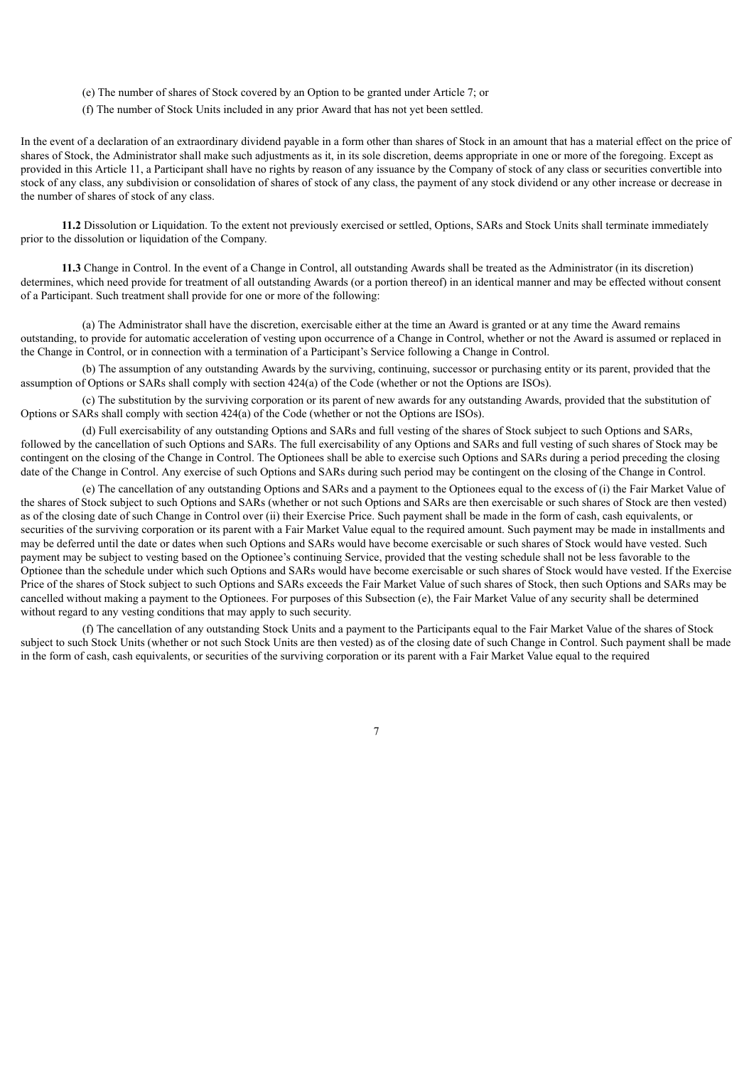- (e) The number of shares of Stock covered by an Option to be granted under Article 7; or
- (f) The number of Stock Units included in any prior Award that has not yet been settled.

In the event of a declaration of an extraordinary dividend payable in a form other than shares of Stock in an amount that has a material effect on the price of shares of Stock, the Administrator shall make such adjustments as it, in its sole discretion, deems appropriate in one or more of the foregoing. Except as provided in this Article 11, a Participant shall have no rights by reason of any issuance by the Company of stock of any class or securities convertible into stock of any class, any subdivision or consolidation of shares of stock of any class, the payment of any stock dividend or any other increase or decrease in the number of shares of stock of any class.

**11.2** Dissolution or Liquidation. To the extent not previously exercised or settled, Options, SARs and Stock Units shall terminate immediately prior to the dissolution or liquidation of the Company.

**11.3** Change in Control. In the event of a Change in Control, all outstanding Awards shall be treated as the Administrator (in its discretion) determines, which need provide for treatment of all outstanding Awards (or a portion thereof) in an identical manner and may be effected without consent of a Participant. Such treatment shall provide for one or more of the following:

(a) The Administrator shall have the discretion, exercisable either at the time an Award is granted or at any time the Award remains outstanding, to provide for automatic acceleration of vesting upon occurrence of a Change in Control, whether or not the Award is assumed or replaced in the Change in Control, or in connection with a termination of a Participant's Service following a Change in Control.

(b) The assumption of any outstanding Awards by the surviving, continuing, successor or purchasing entity or its parent, provided that the assumption of Options or SARs shall comply with section 424(a) of the Code (whether or not the Options are ISOs).

(c) The substitution by the surviving corporation or its parent of new awards for any outstanding Awards, provided that the substitution of Options or SARs shall comply with section 424(a) of the Code (whether or not the Options are ISOs).

(d) Full exercisability of any outstanding Options and SARs and full vesting of the shares of Stock subject to such Options and SARs, followed by the cancellation of such Options and SARs. The full exercisability of any Options and SARs and full vesting of such shares of Stock may be contingent on the closing of the Change in Control. The Optionees shall be able to exercise such Options and SARs during a period preceding the closing date of the Change in Control. Any exercise of such Options and SARs during such period may be contingent on the closing of the Change in Control.

(e) The cancellation of any outstanding Options and SARs and a payment to the Optionees equal to the excess of (i) the Fair Market Value of the shares of Stock subject to such Options and SARs (whether or not such Options and SARs are then exercisable or such shares of Stock are then vested) as of the closing date of such Change in Control over (ii) their Exercise Price. Such payment shall be made in the form of cash, cash equivalents, or securities of the surviving corporation or its parent with a Fair Market Value equal to the required amount. Such payment may be made in installments and may be deferred until the date or dates when such Options and SARs would have become exercisable or such shares of Stock would have vested. Such payment may be subject to vesting based on the Optionee's continuing Service, provided that the vesting schedule shall not be less favorable to the Optionee than the schedule under which such Options and SARs would have become exercisable or such shares of Stock would have vested. If the Exercise Price of the shares of Stock subject to such Options and SARs exceeds the Fair Market Value of such shares of Stock, then such Options and SARs may be cancelled without making a payment to the Optionees. For purposes of this Subsection (e), the Fair Market Value of any security shall be determined without regard to any vesting conditions that may apply to such security.

(f) The cancellation of any outstanding Stock Units and a payment to the Participants equal to the Fair Market Value of the shares of Stock subject to such Stock Units (whether or not such Stock Units are then vested) as of the closing date of such Change in Control. Such payment shall be made in the form of cash, cash equivalents, or securities of the surviving corporation or its parent with a Fair Market Value equal to the required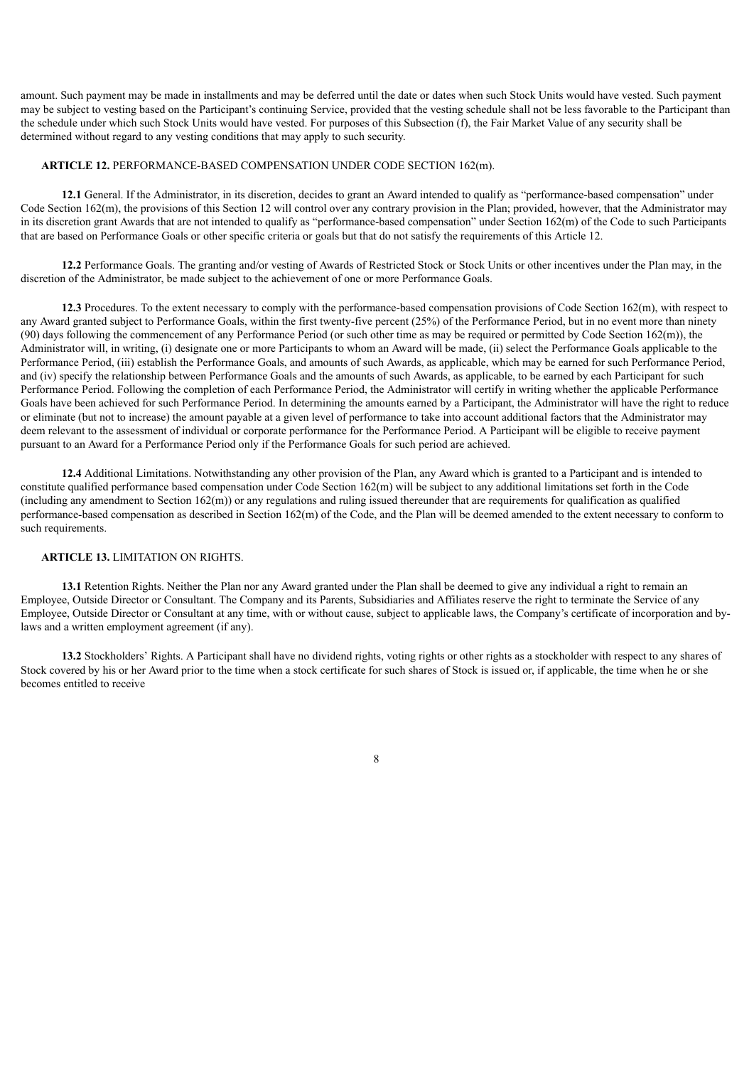amount. Such payment may be made in installments and may be deferred until the date or dates when such Stock Units would have vested. Such payment may be subject to vesting based on the Participant's continuing Service, provided that the vesting schedule shall not be less favorable to the Participant than the schedule under which such Stock Units would have vested. For purposes of this Subsection (f), the Fair Market Value of any security shall be determined without regard to any vesting conditions that may apply to such security.

#### **ARTICLE 12.** PERFORMANCE-BASED COMPENSATION UNDER CODE SECTION 162(m).

**12.1** General. If the Administrator, in its discretion, decides to grant an Award intended to qualify as "performance-based compensation" under Code Section 162(m), the provisions of this Section 12 will control over any contrary provision in the Plan; provided, however, that the Administrator may in its discretion grant Awards that are not intended to qualify as "performance-based compensation" under Section 162(m) of the Code to such Participants that are based on Performance Goals or other specific criteria or goals but that do not satisfy the requirements of this Article 12.

**12.2** Performance Goals. The granting and/or vesting of Awards of Restricted Stock or Stock Units or other incentives under the Plan may, in the discretion of the Administrator, be made subject to the achievement of one or more Performance Goals.

**12.3** Procedures. To the extent necessary to comply with the performance-based compensation provisions of Code Section 162(m), with respect to any Award granted subject to Performance Goals, within the first twenty-five percent (25%) of the Performance Period, but in no event more than ninety (90) days following the commencement of any Performance Period (or such other time as may be required or permitted by Code Section  $162(m)$ ), the Administrator will, in writing, (i) designate one or more Participants to whom an Award will be made, (ii) select the Performance Goals applicable to the Performance Period, (iii) establish the Performance Goals, and amounts of such Awards, as applicable, which may be earned for such Performance Period, and (iv) specify the relationship between Performance Goals and the amounts of such Awards, as applicable, to be earned by each Participant for such Performance Period. Following the completion of each Performance Period, the Administrator will certify in writing whether the applicable Performance Goals have been achieved for such Performance Period. In determining the amounts earned by a Participant, the Administrator will have the right to reduce or eliminate (but not to increase) the amount payable at a given level of performance to take into account additional factors that the Administrator may deem relevant to the assessment of individual or corporate performance for the Performance Period. A Participant will be eligible to receive payment pursuant to an Award for a Performance Period only if the Performance Goals for such period are achieved.

**12.4** Additional Limitations. Notwithstanding any other provision of the Plan, any Award which is granted to a Participant and is intended to constitute qualified performance based compensation under Code Section 162(m) will be subject to any additional limitations set forth in the Code (including any amendment to Section  $162(m)$ ) or any regulations and ruling issued thereunder that are requirements for qualification as qualified performance-based compensation as described in Section 162(m) of the Code, and the Plan will be deemed amended to the extent necessary to conform to such requirements.

#### **ARTICLE 13.** LIMITATION ON RIGHTS.

**13.1** Retention Rights. Neither the Plan nor any Award granted under the Plan shall be deemed to give any individual a right to remain an Employee, Outside Director or Consultant. The Company and its Parents, Subsidiaries and Affiliates reserve the right to terminate the Service of any Employee, Outside Director or Consultant at any time, with or without cause, subject to applicable laws, the Company's certificate of incorporation and bylaws and a written employment agreement (if any).

**13.2** Stockholders' Rights. A Participant shall have no dividend rights, voting rights or other rights as a stockholder with respect to any shares of Stock covered by his or her Award prior to the time when a stock certificate for such shares of Stock is issued or, if applicable, the time when he or she becomes entitled to receive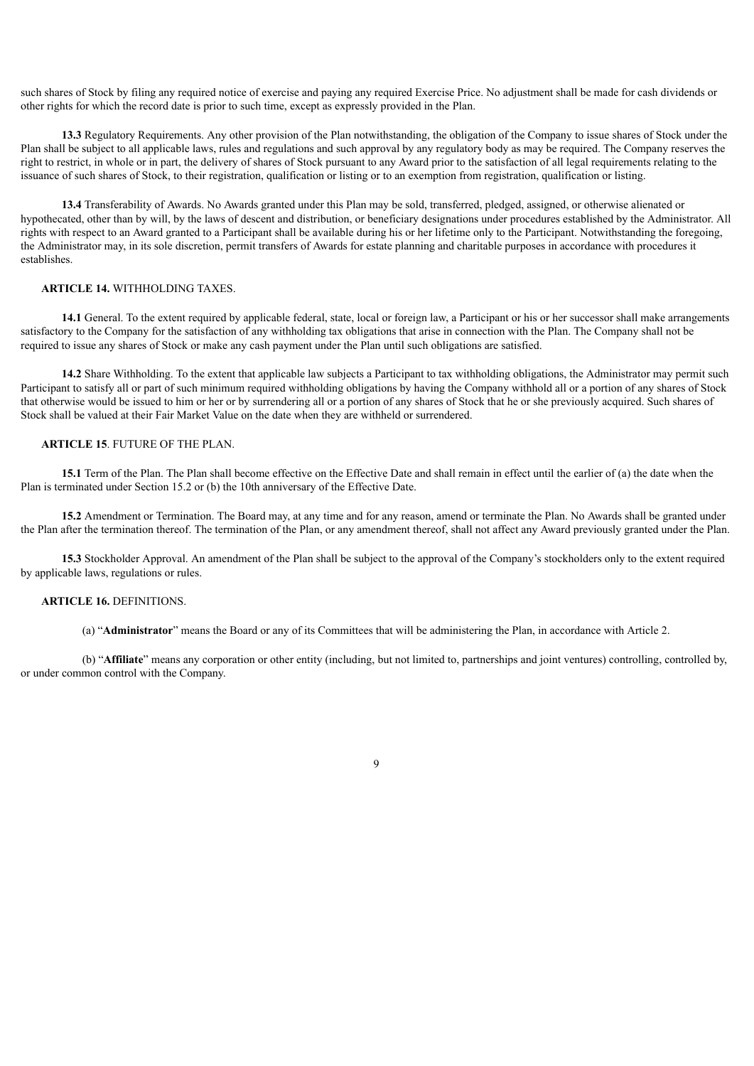such shares of Stock by filing any required notice of exercise and paying any required Exercise Price. No adjustment shall be made for cash dividends or other rights for which the record date is prior to such time, except as expressly provided in the Plan.

**13.3** Regulatory Requirements. Any other provision of the Plan notwithstanding, the obligation of the Company to issue shares of Stock under the Plan shall be subject to all applicable laws, rules and regulations and such approval by any regulatory body as may be required. The Company reserves the right to restrict, in whole or in part, the delivery of shares of Stock pursuant to any Award prior to the satisfaction of all legal requirements relating to the issuance of such shares of Stock, to their registration, qualification or listing or to an exemption from registration, qualification or listing.

**13.4** Transferability of Awards. No Awards granted under this Plan may be sold, transferred, pledged, assigned, or otherwise alienated or hypothecated, other than by will, by the laws of descent and distribution, or beneficiary designations under procedures established by the Administrator. All rights with respect to an Award granted to a Participant shall be available during his or her lifetime only to the Participant. Notwithstanding the foregoing, the Administrator may, in its sole discretion, permit transfers of Awards for estate planning and charitable purposes in accordance with procedures it establishes.

#### **ARTICLE 14.** WITHHOLDING TAXES.

**14.1** General. To the extent required by applicable federal, state, local or foreign law, a Participant or his or her successor shall make arrangements satisfactory to the Company for the satisfaction of any withholding tax obligations that arise in connection with the Plan. The Company shall not be required to issue any shares of Stock or make any cash payment under the Plan until such obligations are satisfied.

**14.2** Share Withholding. To the extent that applicable law subjects a Participant to tax withholding obligations, the Administrator may permit such Participant to satisfy all or part of such minimum required withholding obligations by having the Company withhold all or a portion of any shares of Stock that otherwise would be issued to him or her or by surrendering all or a portion of any shares of Stock that he or she previously acquired. Such shares of Stock shall be valued at their Fair Market Value on the date when they are withheld or surrendered.

#### **ARTICLE 15**. FUTURE OF THE PLAN.

**15.1** Term of the Plan. The Plan shall become effective on the Effective Date and shall remain in effect until the earlier of (a) the date when the Plan is terminated under Section 15.2 or (b) the 10th anniversary of the Effective Date.

**15.2** Amendment or Termination. The Board may, at any time and for any reason, amend or terminate the Plan. No Awards shall be granted under the Plan after the termination thereof. The termination of the Plan, or any amendment thereof, shall not affect any Award previously granted under the Plan.

**15.3** Stockholder Approval. An amendment of the Plan shall be subject to the approval of the Company's stockholders only to the extent required by applicable laws, regulations or rules.

#### **ARTICLE 16.** DEFINITIONS.

(a) "**Administrator**" means the Board or any of its Committees that will be administering the Plan, in accordance with Article 2.

(b) "**Affiliate**" means any corporation or other entity (including, but not limited to, partnerships and joint ventures) controlling, controlled by, or under common control with the Company.

 $\mathbf Q$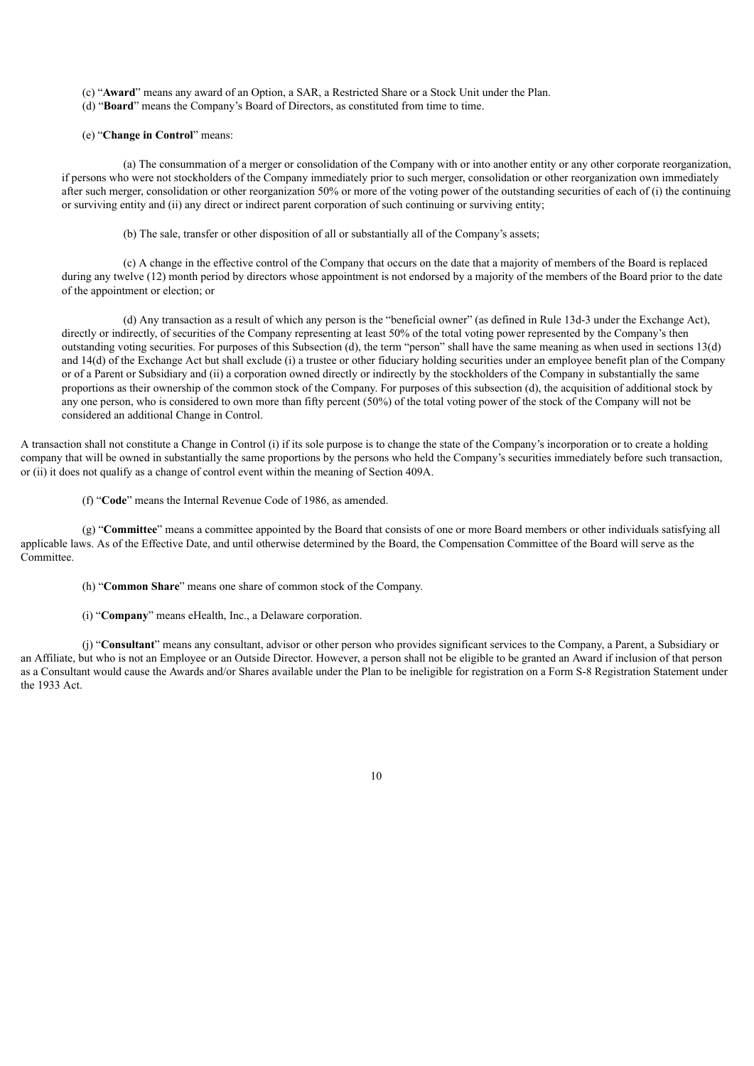(c) "**Award**" means any award of an Option, a SAR, a Restricted Share or a Stock Unit under the Plan.

(d) "**Board**" means the Company's Board of Directors, as constituted from time to time.

#### (e) "**Change in Control**" means:

(a) The consummation of a merger or consolidation of the Company with or into another entity or any other corporate reorganization, if persons who were not stockholders of the Company immediately prior to such merger, consolidation or other reorganization own immediately after such merger, consolidation or other reorganization 50% or more of the voting power of the outstanding securities of each of (i) the continuing or surviving entity and (ii) any direct or indirect parent corporation of such continuing or surviving entity;

(b) The sale, transfer or other disposition of all or substantially all of the Company's assets;

(c) A change in the effective control of the Company that occurs on the date that a majority of members of the Board is replaced during any twelve (12) month period by directors whose appointment is not endorsed by a majority of the members of the Board prior to the date of the appointment or election; or

(d) Any transaction as a result of which any person is the "beneficial owner" (as defined in Rule 13d-3 under the Exchange Act), directly or indirectly, of securities of the Company representing at least 50% of the total voting power represented by the Company's then outstanding voting securities. For purposes of this Subsection (d), the term "person" shall have the same meaning as when used in sections 13(d) and 14(d) of the Exchange Act but shall exclude (i) a trustee or other fiduciary holding securities under an employee benefit plan of the Company or of a Parent or Subsidiary and (ii) a corporation owned directly or indirectly by the stockholders of the Company in substantially the same proportions as their ownership of the common stock of the Company. For purposes of this subsection (d), the acquisition of additional stock by any one person, who is considered to own more than fifty percent (50%) of the total voting power of the stock of the Company will not be considered an additional Change in Control.

A transaction shall not constitute a Change in Control (i) if its sole purpose is to change the state of the Company's incorporation or to create a holding company that will be owned in substantially the same proportions by the persons who held the Company's securities immediately before such transaction, or (ii) it does not qualify as a change of control event within the meaning of Section 409A.

(f) "**Code**" means the Internal Revenue Code of 1986, as amended.

(g) "**Committee**" means a committee appointed by the Board that consists of one or more Board members or other individuals satisfying all applicable laws. As of the Effective Date, and until otherwise determined by the Board, the Compensation Committee of the Board will serve as the Committee.

(h) "**Common Share**" means one share of common stock of the Company.

(i) "**Company**" means eHealth, Inc., a Delaware corporation.

(j) "**Consultant**" means any consultant, advisor or other person who provides significant services to the Company, a Parent, a Subsidiary or an Affiliate, but who is not an Employee or an Outside Director. However, a person shall not be eligible to be granted an Award if inclusion of that person as a Consultant would cause the Awards and/or Shares available under the Plan to be ineligible for registration on a Form S-8 Registration Statement under the 1933 Act.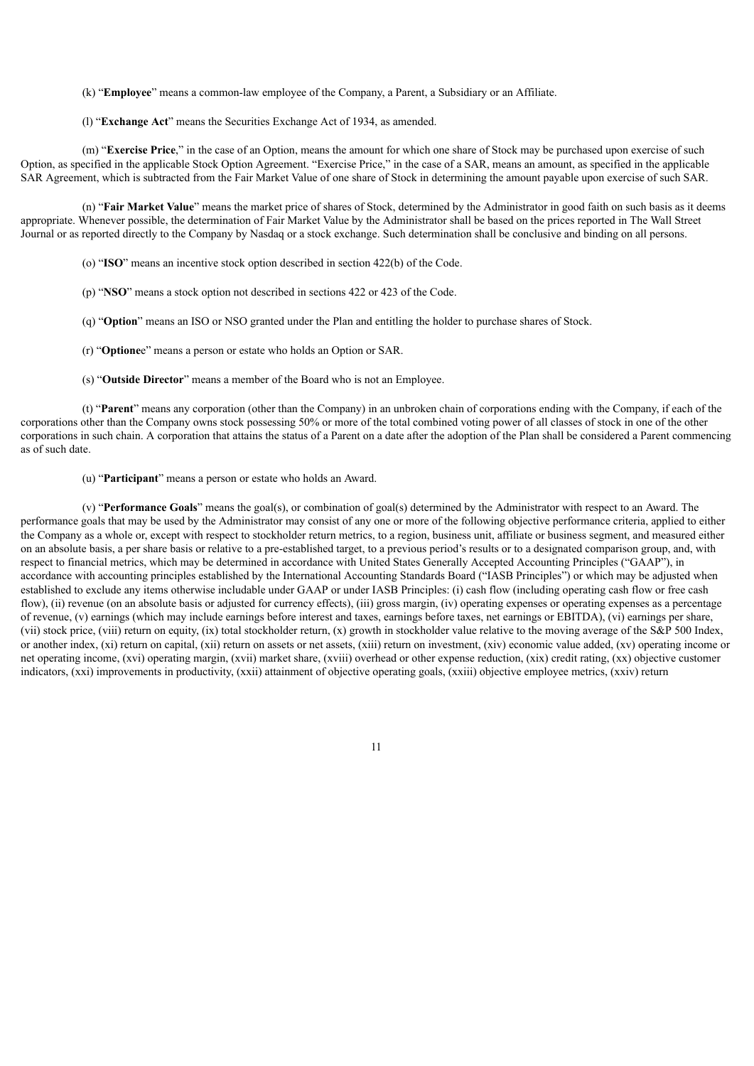(k) "**Employee**" means a common-law employee of the Company, a Parent, a Subsidiary or an Affiliate.

(l) "**Exchange Act**" means the Securities Exchange Act of 1934, as amended.

(m) "**Exercise Price**," in the case of an Option, means the amount for which one share of Stock may be purchased upon exercise of such Option, as specified in the applicable Stock Option Agreement. "Exercise Price," in the case of a SAR, means an amount, as specified in the applicable SAR Agreement, which is subtracted from the Fair Market Value of one share of Stock in determining the amount payable upon exercise of such SAR.

(n) "**Fair Market Value**" means the market price of shares of Stock, determined by the Administrator in good faith on such basis as it deems appropriate. Whenever possible, the determination of Fair Market Value by the Administrator shall be based on the prices reported in The Wall Street Journal or as reported directly to the Company by Nasdaq or a stock exchange. Such determination shall be conclusive and binding on all persons.

- (o) "**ISO**" means an incentive stock option described in section 422(b) of the Code.
- (p) "**NSO**" means a stock option not described in sections 422 or 423 of the Code.
- (q) "**Option**" means an ISO or NSO granted under the Plan and entitling the holder to purchase shares of Stock.
- (r) "**Optione**e" means a person or estate who holds an Option or SAR.
- (s) "**Outside Director**" means a member of the Board who is not an Employee.

(t) "**Parent**" means any corporation (other than the Company) in an unbroken chain of corporations ending with the Company, if each of the corporations other than the Company owns stock possessing 50% or more of the total combined voting power of all classes of stock in one of the other corporations in such chain. A corporation that attains the status of a Parent on a date after the adoption of the Plan shall be considered a Parent commencing as of such date.

(u) "**Participant**" means a person or estate who holds an Award.

(v) "**Performance Goals**" means the goal(s), or combination of goal(s) determined by the Administrator with respect to an Award. The performance goals that may be used by the Administrator may consist of any one or more of the following objective performance criteria, applied to either the Company as a whole or, except with respect to stockholder return metrics, to a region, business unit, affiliate or business segment, and measured either on an absolute basis, a per share basis or relative to a pre-established target, to a previous period's results or to a designated comparison group, and, with respect to financial metrics, which may be determined in accordance with United States Generally Accepted Accounting Principles ("GAAP"), in accordance with accounting principles established by the International Accounting Standards Board ("IASB Principles") or which may be adjusted when established to exclude any items otherwise includable under GAAP or under IASB Principles: (i) cash flow (including operating cash flow or free cash flow), (ii) revenue (on an absolute basis or adjusted for currency effects), (iii) gross margin, (iv) operating expenses or operating expenses as a percentage of revenue, (v) earnings (which may include earnings before interest and taxes, earnings before taxes, net earnings or EBITDA), (vi) earnings per share, (vii) stock price, (viii) return on equity, (ix) total stockholder return, (x) growth in stockholder value relative to the moving average of the S&P 500 Index, or another index, (xi) return on capital, (xii) return on assets or net assets, (xiii) return on investment, (xiv) economic value added, (xv) operating income or net operating income, (xvi) operating margin, (xvii) market share, (xviii) overhead or other expense reduction, (xix) credit rating, (xx) objective customer indicators, (xxi) improvements in productivity, (xxii) attainment of objective operating goals, (xxiii) objective employee metrics, (xxiv) return